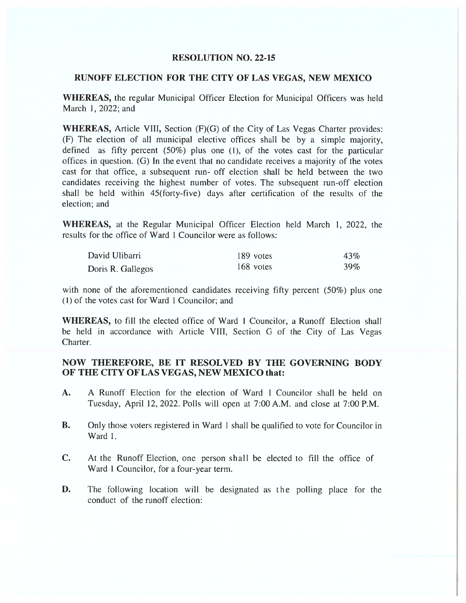## RESOLUTION NO. 22-15

## RUNOFF ELECTION FOR THE CITY OF LAS VEGAS, NEW MEXICO

WHEREAS, the regular Municipal Officer Election for Municipal Officers was held March 1, 2022; and

WHEREAS, Article VIII, Section (F)(G) of the City of Las Vegas Charter provides: (F) The election of all municipal elective offices shall be by <sup>a</sup> simple majority, defined as fifty percen<sup>t</sup> (50%) pius one (1), of the votes cast for the particular offices in question. (G) In the event that no candidate receives <sup>a</sup> majority of the votes cast for that office, <sup>a</sup> subsequent run- off election shall be held between the two candidates receiving the highest number of votes. The subsequent run-off election shall be held within 45(forty-five) days after certification of the results of the election; and

WHEREAS, at the Regular Municipal Officer Election held March 1, 2022, the results for the office of Ward I Councilor were as follows:

| David Ulibarri    | 189 votes | 43% |
|-------------------|-----------|-----|
| Doris R. Gallegos | 168 votes | 39% |

with none of the aforementioned candidates receiving fifty percent (50%) plus one (1) of the votes cast for Ward 1 Councilor; and

WHEREAS, to fill the elected office of Ward 1 Councilor, a Runoff Election shall be held in accordance with Article VIII, Section G of the City of Las Vegas Charter.

## NOW THEREFORE, BE IT RESOLVED BY THE GOVERNING BODY OF THE CITY OF LAS VEGAS, NEW MEXICO that:

- A. A Runoff Election for the election of Ward 1 Councilor shall be held on Tuesday, April 12, 2022. Polls will open at 7:00 A.M. and close at 7:00 P.M.
- B. Only those voters registered in Ward I shall be qualified to vote for Councilor in Ward I.
- C. At the Runoff Election, one person shall be elected to fill the office of Ward 1 Councilor, for <sup>a</sup> four-year term.
- D. The following location will be designated as the polling place for the conduct of the runoff election: